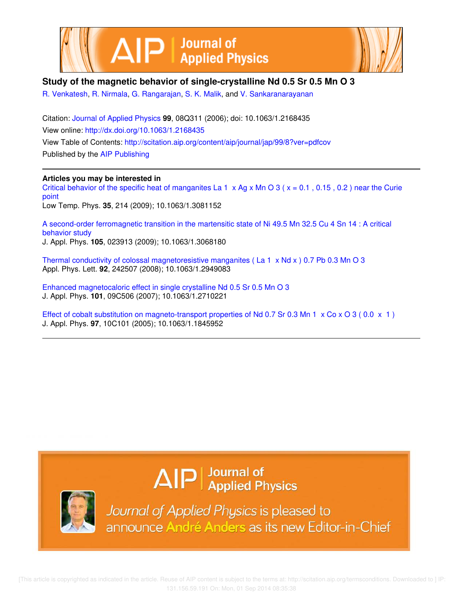



## **Study of the magnetic behavior of single-crystalline Nd 0.5 Sr 0.5 Mn O 3**

R. Venkatesh, R. Nirmala, G. Rangarajan, S. K. Malik, and V. Sankaranarayanan

Citation: Journal of Applied Physics **99**, 08Q311 (2006); doi: 10.1063/1.2168435 View online: http://dx.doi.org/10.1063/1.2168435 View Table of Contents: http://scitation.aip.org/content/aip/journal/jap/99/8?ver=pdfcov Published by the AIP Publishing

### **Articles you may be interested in**

Critical behavior of the specific heat of manganites La  $1 \times Ag \times Mn \times 3$  ( $x = 0.1$ , 0.15, 0.2) near the Curie point Low Temp. Phys. **35**, 214 (2009); 10.1063/1.3081152

A second-order ferromagnetic transition in the martensitic state of Ni 49.5 Mn 32.5 Cu 4 Sn 14 : A critical behavior study J. Appl. Phys. **105**, 023913 (2009); 10.1063/1.3068180

Thermal conductivity of colossal magnetoresistive manganites (La 1  $\times$  Nd  $\times$  ) 0.7 Pb 0.3 Mn O 3 Appl. Phys. Lett. **92**, 242507 (2008); 10.1063/1.2949083

Enhanced magnetocaloric effect in single crystalline Nd 0.5 Sr 0.5 Mn O 3 J. Appl. Phys. **101**, 09C506 (2007); 10.1063/1.2710221

Effect of cobalt substitution on magneto-transport properties of Nd 0.7 Sr 0.3 Mn 1  $\times$  Co  $\times$  O 3 (0.0  $\times$  1) J. Appl. Phys. **97**, 10C101 (2005); 10.1063/1.1845952

# $\Delta$   $\vert P \vert$  Journal of Applied Physics



Journal of Applied Physics is pleased to announce André Anders as its new Editor-in-Chief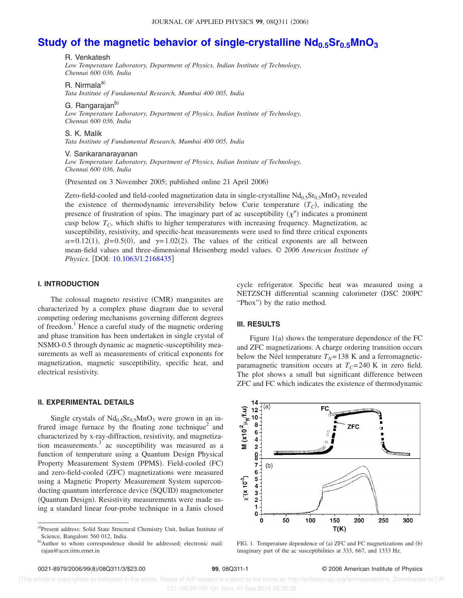# **Study of the magnetic behavior of single-crystalline Nd0.5Sr0.5MnO<sup>3</sup>**

R. Venkatesh

*Low Temperature Laboratory, Department of Physics, Indian Institute of Technology, Chennai 600 036, India*

R. Nirmala<sup>a)</sup>

*Tata Institute of Fundamental Research, Mumbai 400 005, India*

G. Rangarajan<sup>b)</sup>

*Low Temperature Laboratory, Department of Physics, Indian Institute of Technology, Chennai 600 036, India*

S. K. Malik *Tata Institute of Fundamental Research, Mumbai 400 005, India*

V. Sankaranarayanan

*Low Temperature Laboratory, Department of Physics, Indian Institute of Technology, Chennai 600 036, India*

(Presented on 3 November 2005; published online 21 April 2006)

Zero-field-cooled and field-cooled magnetization data in single-crystalline  $\rm Nd_{0.5}Sr_{0.5}MnO_3$  revealed the existence of thermodynamic irreversibility below Curie temperature  $(T_C)$ , indicating the presence of frustration of spins. The imaginary part of ac susceptibility  $(\chi'')$  indicates a prominent cusp below  $T_c$ , which shifts to higher temperatures with increasing frequency. Magnetization, ac susceptibility, resistivity, and specific-heat measurements were used to find three critical exponents  $\alpha$ =0.12(1),  $\beta$ =0.5(0), and  $\gamma$ =1.02(2). The values of the critical exponents are all between mean-field values and three-dimensional Heisenberg model values. © *2006 American Institute of Physics*. [DOI: 10.1063/1.2168435]

#### **I. INTRODUCTION**

The colossal magneto resistive (CMR) manganites are characterized by a complex phase diagram due to several competing ordering mechanisms governing different degrees of freedom.<sup>1</sup> Hence a careful study of the magnetic ordering and phase transition has been undertaken in single crystal of NSMO-0.5 through dynamic ac magnetic-susceptibility measurements as well as measurements of critical exponents for magnetization, magnetic susceptibility, specific heat, and electrical resistivity.

#### **II. EXPERIMENTAL DETAILS**

Single crystals of  $Nd<sub>0.5</sub>Sr<sub>0.5</sub>MnO<sub>3</sub>$  were grown in an infrared image furnace by the floating zone technique<sup>2</sup> and characterized by x-ray-diffraction, resistivity, and magnetization measurements. $3$  ac susceptibility was measured as a function of temperature using a Quantum Design Physical Property Measurement System (PPMS). Field-cooled (FC) and zero-field-cooled (ZFC) magnetizations were measured using a Magnetic Property Measurement System superconducting quantum interference device (SQUID) magnetometer (Quantum Design). Resistivity measurements were made using a standard linear four-probe technique in a Janis closed cycle refrigerator. Specific heat was measured using a NETZSCH differential scanning calorimeter (DSC 200PC "Phox") by the ratio method.

#### **III. RESULTS**

Figure  $1(a)$  shows the temperature dependence of the FC and ZFC magnetizations. A charge ordering transition occurs below the Néel temperature  $T_N$ =138 K and a ferromagneticparamagnetic transition occurs at  $T_C$ =240 K in zero field. The plot shows a small but significant difference between ZFC and FC which indicates the existence of thermodynamic



FIG. 1. Temperature dependence of (a) ZFC and FC magnetizations and (b) imaginary part of the ac susceptibilities at 333, 667, and 1333 Hz.

a)Present address: Solid State Structural Chemistry Unit, Indian Institute of Science, Bangalore 560 012, India.

b)Author to whom correspondence should be addressed; electronic mail: rajan@acer.iitm.ernet.in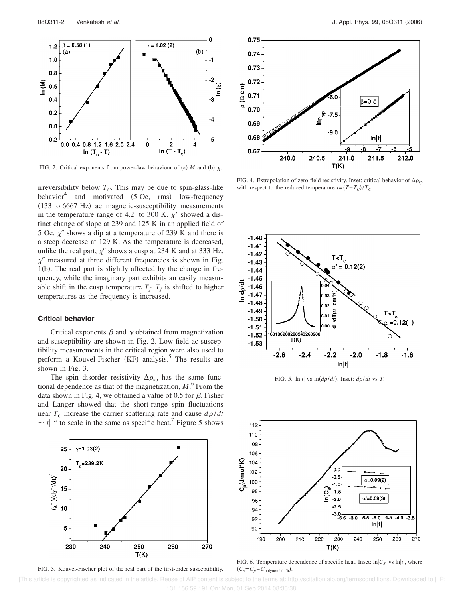

FIG. 2. Critical exponents from power-law behaviour of (a) M and (b)  $\chi$ .

irreversibility below  $T_C$ . This may be due to spin-glass-like behavior<sup>4</sup> and motivated  $(5 \text{ Oe}, \text{ rms})$  low-frequency (133 to 6667 Hz) ac magnetic-susceptibility measurements in the temperature range of 4.2 to 300 K.  $\chi'$  showed a distinct change of slope at 239 and 125 K in an applied field of 5 Oe.  $\chi$ <sup>*''*</sup> shows a dip at a temperature of 239 K and there is a steep decrease at 129 K. As the temperature is decreased, unlike the real part,  $\chi''$  shows a cusp at 234 K and at 333 Hz.  $\chi$ " measured at three different frequencies is shown in Fig. 1(b). The real part is slightly affected by the change in frequency, while the imaginary part exhibits an easily measurable shift in the cusp temperature  $T_f$ ,  $T_f$  is shifted to higher temperatures as the frequency is increased.

#### **Critical behavior**

Critical exponents  $\beta$  and  $\gamma$  obtained from magnetization and susceptibility are shown in Fig. 2. Low-field ac susceptibility measurements in the critical region were also used to perform a Kouvel-Fischer (KF) analysis.<sup>5</sup> The results are shown in Fig. 3.

The spin disorder resistivity  $\Delta \rho_{sp}$  has the same functional dependence as that of the magnetization,  $M$ <sup>6</sup>. From the data shown in Fig. 4, we obtained a value of 0.5 for  $\beta$ . Fisher and Langer showed that the short-range spin fluctuations near  $T_c$  increase the carrier scattering rate and cause  $d\rho/dt$  $\sim |t|^{-\alpha}$  to scale in the same as specific heat.<sup>7</sup> Figure 5 shows



FIG. 3. Kouvel-Fischer plot of the real part of the first-order susceptibility.



FIG. 4. Extrapolation of zero-field resistivity. Inset: critical behavior of  $\Delta \rho_{\rm{sp}}$ with respect to the reduced temperature  $t = (T - T_C)/T_C$ .



FIG. 5.  $\ln|t|$  vs  $\ln(d\rho/dt)$ . Inset:  $d\rho/dt$  vs *T*.



FIG. 6. Temperature dependence of specific heat. Inset:  $\ln|C_s|$  vs  $\ln|t|$ , where  $(C_s = C_p - C_{\text{polynomial fit}})$ .

 [This article is copyrighted as indicated in the article. Reuse of AIP content is subject to the terms at: http://scitation.aip.org/termsconditions. Downloaded to ] IP: 131.156.59.191 On: Mon, 01 Sep 2014 08:35:38